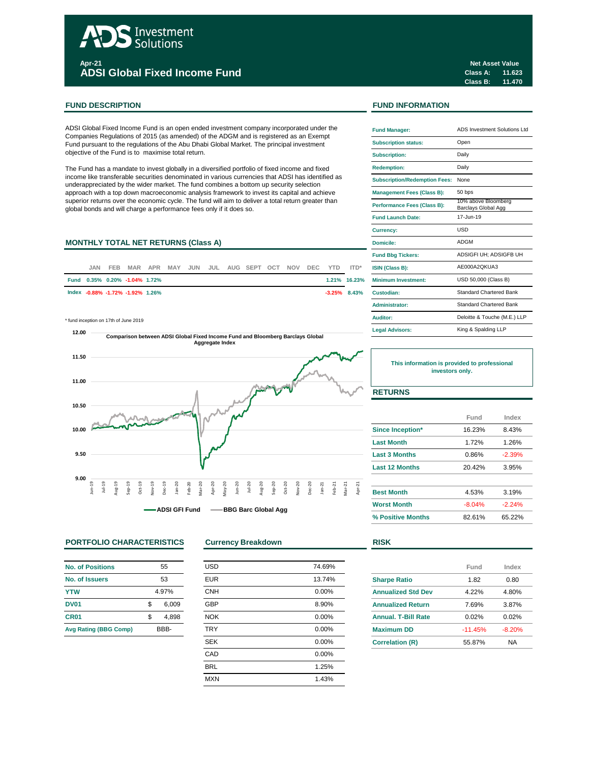# Investment **Solutions Apr-21**

**ADSI Global Fixed Income Fund**

## **FUND DESCRIPTION FUND INFORMATION**

ADSI Global Fixed Income Fund is an open ended investment company incorporated under the Companies Regulations of 2015 (as amended) of the ADGM and is registered as an Exempt Fund pursuant to the regulations of the Abu Dhabi Global Market. The principal investment objective of the Fund is to maximise total return.

The Fund has a mandate to invest globally in a diversified portfolio of fixed income and fixed income like transferable securities denominated in various currencies that ADSI has identified as underappreciated by the wider market. The fund combines a bottom up security selection approach with a top down macroeconomic analysis framework to invest its capital and achieve superior returns over the economic cycle. The fund will aim to deliver a total return greater than global bonds and will charge a performance fees only if it does so.

# **MONTHLY TOTAL NET RETURNS (Class A)**

| .JAN | <b>FEB</b> |                                  |  |  | MAR APR MAY JUN JUL AUG SEPT OCT NOV DEC YTD ITD* |  |  |                 | <b>ISIN (Class B):</b>     |
|------|------------|----------------------------------|--|--|---------------------------------------------------|--|--|-----------------|----------------------------|
|      |            | Fund 0.35% 0.20% -1.04% 1.72%    |  |  |                                                   |  |  | $1.21\%$ 16.23% | <b>Minimum Investment:</b> |
|      |            | lndex -0.88% -1.72% -1.92% 1.26% |  |  |                                                   |  |  | $-3.25\%$ 8.43% | Custodian:                 |

 $*$  fund inception on 17th of June 2019



# **PORTFOLIO CHARACTERISTICS Currency Breakdown RISK**

| <b>No. of Positions</b>      | 55 |       |  |  |
|------------------------------|----|-------|--|--|
| No. of Issuers               | 53 |       |  |  |
| <b>YTW</b>                   |    | 4.97% |  |  |
| <b>DV01</b>                  | \$ | 6.009 |  |  |
| CR <sub>01</sub>             | \$ | 4.898 |  |  |
| <b>Avg Rating (BBG Comp)</b> |    | RRR-  |  |  |

| <b>USD</b> | 74.69% |
|------------|--------|
| <b>EUR</b> | 13.74% |
| <b>CNH</b> | 0.00%  |
| <b>GBP</b> | 8.90%  |
| <b>NOK</b> | 0.00%  |
| <b>TRY</b> | 0.00%  |
| <b>SEK</b> | 0.00%  |
| CAD        | 0.00%  |
| <b>BRL</b> | 1.25%  |
| <b>MXN</b> | 1.43%  |
|            |        |

**Class A: 11.623 Class B: 11.470 Net Asset Value**

| <b>Fund Manager:</b>                 | ADS Investment Solutions Ltd.              |
|--------------------------------------|--------------------------------------------|
| <b>Subscription status:</b>          | Open                                       |
| <b>Subscription:</b>                 | Daily                                      |
| <b>Redemption:</b>                   | Daily                                      |
| <b>Subscription/Redemption Fees:</b> | None                                       |
| <b>Management Fees (Class B):</b>    | 50 bps                                     |
| <b>Performance Fees (Class B):</b>   | 10% above Bloomberg<br>Barclays Global Agg |
| <b>Fund Launch Date:</b>             | 17-Jun-19                                  |
| <b>Currency:</b>                     | USD                                        |
| Domicile:                            | ADGM                                       |
| <b>Fund Bbg Tickers:</b>             | ADSIGFI UH; ADSIGFB UH                     |
| ISIN (Class B):                      | AE000A2QKUA3                               |
| Minimum Investment:                  | USD 50,000 (Class B)                       |
| Custodian:                           | Standard Chartered Bank                    |
| Administrator:                       | <b>Standard Chartered Bank</b>             |
| Auditor:                             | Deloitte & Touche (M.E.) LLP               |
| <b>Legal Advisors:</b>               | King & Spalding LLP                        |

**This information is provided to professional investors only.**

# **RETURNS**

|                         | Fund     | Index    |  |
|-------------------------|----------|----------|--|
| <b>Since Inception*</b> | 16.23%   | 8.43%    |  |
| <b>Last Month</b>       | 1.72%    | 1.26%    |  |
| <b>Last 3 Months</b>    | 0.86%    | $-2.39%$ |  |
| <b>Last 12 Months</b>   | 20.42%   | 3.95%    |  |
| <b>Best Month</b>       | 4.53%    | 3.19%    |  |
| <b>Worst Month</b>      | $-8.04%$ | $-2.24%$ |  |
| % Positive Months       | 82.61%   | 65.22%   |  |

|                            | Fund      | Index    |  |
|----------------------------|-----------|----------|--|
| <b>Sharpe Ratio</b>        | 1.82      | 0.80     |  |
| <b>Annualized Std Dev</b>  | 4.22%     | 4.80%    |  |
| <b>Annualized Return</b>   | 7.69%     | 3.87%    |  |
| <b>Annual, T-Bill Rate</b> | 0.02%     | 0.02%    |  |
| <b>Maximum DD</b>          | $-11.45%$ | $-8.20%$ |  |
| <b>Correlation (R)</b>     | 55.87%    | ΝA       |  |